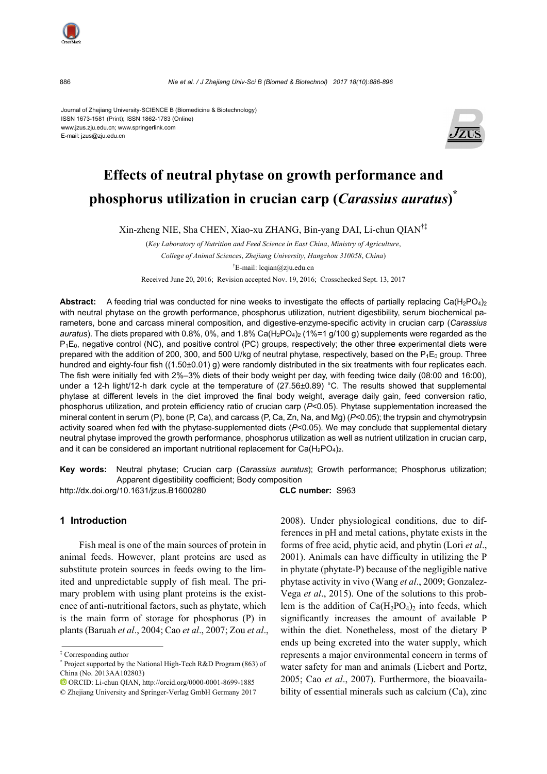886 *Nie et al. / J Zhejiang Univ-Sci B (Biomed & Biotechnol) 2017 18(10):886-896*

Journal of Zhejiang University-SCIENCE B (Biomedicine & Biotechnology) ISSN 1673-1581 (Print); ISSN 1862-1783 (Online) www.jzus.zju.edu.cn; www.springerlink.com E-mail: jzus@zju.edu.cn



# **Effects of neutral phytase on growth performance and phosphorus utilization in crucian carp (***Carassius auratus***) \***

Xin-zheng NIE, Sha CHEN, Xiao-xu ZHANG, Bin-yang DAI, Li-chun QIAN†‡

(*Key Laboratory of Nutrition and Feed Science in East China*, *Ministry of Agriculture*, *College of Animal Sciences*, *Zhejiang University*, *Hangzhou 310058*, *China*) † E-mail: lcqian@zju.edu.cn

Received June 20, 2016; Revision accepted Nov. 19, 2016; Crosschecked Sept. 13, 2017

**Abstract:** A feeding trial was conducted for nine weeks to investigate the effects of partially replacing Ca(H<sub>2</sub>PO<sub>4</sub>)<sub>2</sub> with neutral phytase on the growth performance, phosphorus utilization, nutrient digestibility, serum biochemical parameters, bone and carcass mineral composition, and digestive-enzyme-specific activity in crucian carp (*Carassius auratus*). The diets prepared with 0.8%, 0%, and 1.8% Ca(H<sub>2</sub>PO<sub>4</sub>)<sub>2</sub> (1%=1 g/100 g) supplements were regarded as the P<sub>1</sub>E<sub>0</sub>, negative control (NC), and positive control (PC) groups, respectively; the other three experimental diets were prepared with the addition of 200, 300, and 500 U/kg of neutral phytase, respectively, based on the  $P_1E_0$  group. Three hundred and eighty-four fish ((1.50±0.01) g) were randomly distributed in the six treatments with four replicates each. The fish were initially fed with 2%–3% diets of their body weight per day, with feeding twice daily (08:00 and 16:00), under a 12-h light/12-h dark cycle at the temperature of (27.56±0.89) °C. The results showed that supplemental phytase at different levels in the diet improved the final body weight, average daily gain, feed conversion ratio, phosphorus utilization, and protein efficiency ratio of crucian carp (*P*<0.05). Phytase supplementation increased the mineral content in serum (P), bone (P, Ca), and carcass (P, Ca, Zn, Na, and Mg) (*P*<0.05); the trypsin and chymotrypsin activity soared when fed with the phytase-supplemented diets (*P*<0.05). We may conclude that supplemental dietary neutral phytase improved the growth performance, phosphorus utilization as well as nutrient utilization in crucian carp, and it can be considered an important nutritional replacement for  $Ca(H_2PO_4)_2$ .

**Key words:** Neutral phytase; Crucian carp (*Carassius auratus*); Growth performance; Phosphorus utilization; Apparent digestibility coefficient; Body composition

http://dx.doi.org/10.1631/jzus.B1600280 **CLC number:** S963

# **1 Introduction**

Fish meal is one of the main sources of protein in animal feeds. However, plant proteins are used as substitute protein sources in feeds owing to the limited and unpredictable supply of fish meal. The primary problem with using plant proteins is the existence of anti-nutritional factors, such as phytate, which is the main form of storage for phosphorus (P) in plants (Baruah *et al*., 2004; Cao *et al*., 2007; Zou *et al*., 2008). Under physiological conditions, due to differences in pH and metal cations, phytate exists in the forms of free acid, phytic acid, and phytin (Lori *et al*., 2001). Animals can have difficulty in utilizing the P in phytate (phytate-P) because of the negligible native phytase activity in vivo (Wang *et al*., 2009; Gonzalez-Vega *et al*., 2015). One of the solutions to this problem is the addition of  $Ca(H_2PO_4)_2$  into feeds, which significantly increases the amount of available P within the diet. Nonetheless, most of the dietary P ends up being excreted into the water supply, which represents a major environmental concern in terms of water safety for man and animals (Liebert and Portz, 2005; Cao *et al*., 2007). Furthermore, the bioavailability of essential minerals such as calcium (Ca), zinc



<sup>‡</sup> Corresponding author

<sup>\*</sup> Project supported by the National High-Tech R&D Program (863) of China (No. 2013AA102803)

ORCID: Li-chun QIAN, http://orcid.org/0000-0001-8699-1885

<sup>©</sup> Zhejiang University and Springer-Verlag GmbH Germany 2017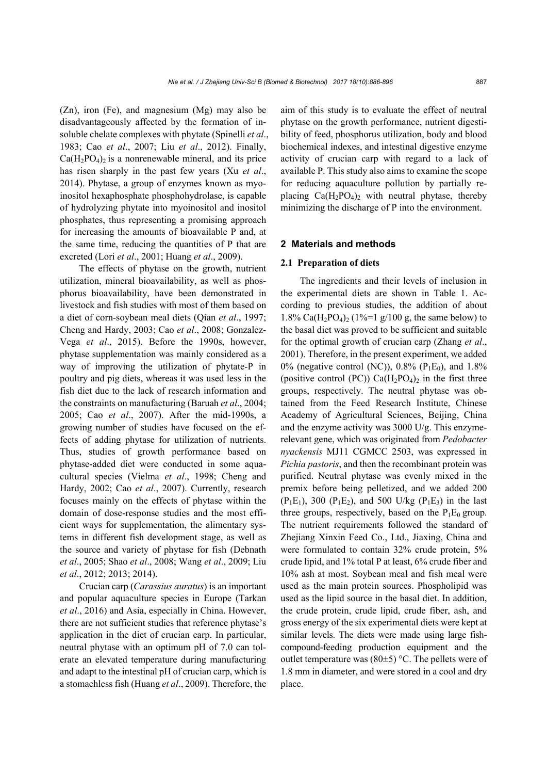(Zn), iron (Fe), and magnesium (Mg) may also be disadvantageously affected by the formation of insoluble chelate complexes with phytate (Spinelli *et al*., 1983; Cao *et al*., 2007; Liu *et al*., 2012). Finally,  $Ca(H_2PO_4)_2$  is a nonrenewable mineral, and its price has risen sharply in the past few years (Xu *et al*., 2014). Phytase, a group of enzymes known as myoinositol hexaphosphate phosphohydrolase, is capable of hydrolyzing phytate into myoinositol and inositol phosphates, thus representing a promising approach for increasing the amounts of bioavailable P and, at the same time, reducing the quantities of P that are excreted (Lori *et al*., 2001; Huang *et al*., 2009).

The effects of phytase on the growth, nutrient utilization, mineral bioavailability, as well as phosphorus bioavailability, have been demonstrated in livestock and fish studies with most of them based on a diet of corn-soybean meal diets (Qian *et al*., 1997; Cheng and Hardy, 2003; Cao *et al*., 2008; Gonzalez-Vega *et al*., 2015). Before the 1990s, however, phytase supplementation was mainly considered as a way of improving the utilization of phytate-P in poultry and pig diets, whereas it was used less in the fish diet due to the lack of research information and the constraints on manufacturing (Baruah *et al*., 2004; 2005; Cao *et al*., 2007). After the mid-1990s, a growing number of studies have focused on the effects of adding phytase for utilization of nutrients. Thus, studies of growth performance based on phytase-added diet were conducted in some aquacultural species (Vielma *et al*., 1998; Cheng and Hardy, 2002; Cao *et al*., 2007). Currently, research focuses mainly on the effects of phytase within the domain of dose-response studies and the most efficient ways for supplementation, the alimentary systems in different fish development stage, as well as the source and variety of phytase for fish (Debnath *et al*., 2005; Shao *et al*., 2008; Wang *et al*., 2009; Liu *et al*., 2012; 2013; 2014).

Crucian carp (*Carassius auratus*) is an important and popular aquaculture species in Europe (Tarkan *et al*., 2016) and Asia, especially in China. However, there are not sufficient studies that reference phytase's application in the diet of crucian carp. In particular, neutral phytase with an optimum pH of 7.0 can tolerate an elevated temperature during manufacturing and adapt to the intestinal pH of crucian carp, which is a stomachless fish (Huang *et al*., 2009). Therefore, the aim of this study is to evaluate the effect of neutral phytase on the growth performance, nutrient digestibility of feed, phosphorus utilization, body and blood biochemical indexes, and intestinal digestive enzyme activity of crucian carp with regard to a lack of available P. This study also aims to examine the scope for reducing aquaculture pollution by partially replacing  $Ca(H_2PO_4)_2$  with neutral phytase, thereby minimizing the discharge of P into the environment.

#### **2 Materials and methods**

#### **2.1 Preparation of diets**

The ingredients and their levels of inclusion in the experimental diets are shown in Table 1. According to previous studies, the addition of about 1.8% Ca(H<sub>2</sub>PO<sub>4</sub>)<sub>2</sub> (1%=1 g/100 g, the same below) to the basal diet was proved to be sufficient and suitable for the optimal growth of crucian carp (Zhang *et al*., 2001). Therefore, in the present experiment, we added 0% (negative control (NC)), 0.8% ( $P_1E_0$ ), and 1.8% (positive control (PC))  $Ca(H_2PO_4)_2$  in the first three groups, respectively. The neutral phytase was obtained from the Feed Research Institute, Chinese Academy of Agricultural Sciences, Beijing, China and the enzyme activity was 3000 U/g. This enzymerelevant gene, which was originated from *Pedobacter nyackensis* MJ11 CGMCC 2503, was expressed in *Pichia pastoris*, and then the recombinant protein was purified. Neutral phytase was evenly mixed in the premix before being pelletized, and we added 200  $(P_1E_1)$ , 300  $(P_1E_2)$ , and 500 U/kg  $(P_1E_3)$  in the last three groups, respectively, based on the  $P_1E_0$  group. The nutrient requirements followed the standard of Zhejiang Xinxin Feed Co., Ltd., Jiaxing, China and were formulated to contain 32% crude protein, 5% crude lipid, and 1% total P at least, 6% crude fiber and 10% ash at most. Soybean meal and fish meal were used as the main protein sources. Phospholipid was used as the lipid source in the basal diet. In addition, the crude protein, crude lipid, crude fiber, ash, and gross energy of the six experimental diets were kept at similar levels. The diets were made using large fishcompound-feeding production equipment and the outlet temperature was  $(80±5)$  °C. The pellets were of 1.8 mm in diameter, and were stored in a cool and dry place.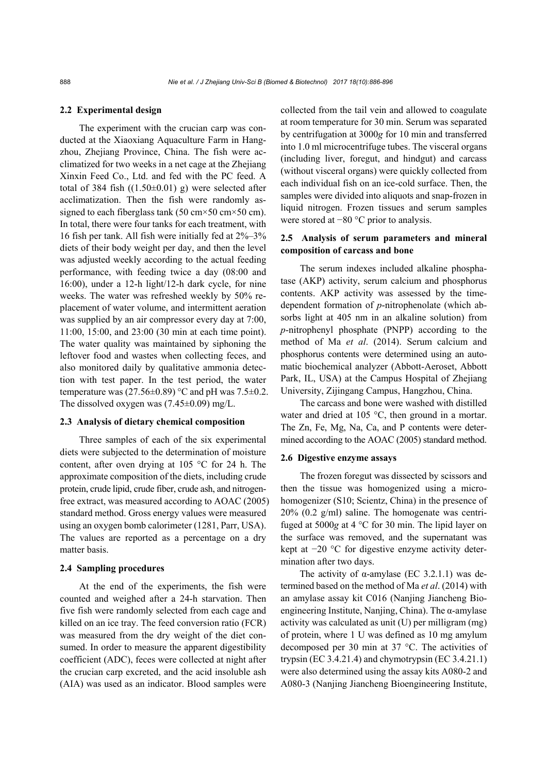#### **2.2 Experimental design**

The experiment with the crucian carp was conducted at the Xiaoxiang Aquaculture Farm in Hangzhou, Zheijang Province, China. The fish were acclimatized for two weeks in a net cage at the Zhejiang Xinxin Feed Co., Ltd. and fed with the PC feed. A total of 384 fish  $((1.50\pm0.01)$  g) were selected after acclimatization. Then the fish were randomly assigned to each fiberglass tank (50 cm $\times$ 50 cm $\times$ 50 cm). In total, there were four tanks for each treatment, with 16 fish per tank. All fish were initially fed at 2%–3% diets of their body weight per day, and then the level was adjusted weekly according to the actual feeding performance, with feeding twice a day (08:00 and 16:00), under a 12-h light/12-h dark cycle, for nine weeks. The water was refreshed weekly by 50% replacement of water volume, and intermittent aeration was supplied by an air compressor every day at 7:00, 11:00, 15:00, and 23:00 (30 min at each time point). The water quality was maintained by siphoning the leftover food and wastes when collecting feces, and also monitored daily by qualitative ammonia detection with test paper. In the test period, the water temperature was  $(27.56\pm0.89)$  °C and pH was  $7.5\pm0.2$ . The dissolved oxygen was (7.45±0.09) mg/L.

#### **2.3 Analysis of dietary chemical composition**

Three samples of each of the six experimental diets were subjected to the determination of moisture content, after oven drying at 105 °C for 24 h. The approximate composition of the diets, including crude protein, crude lipid, crude fiber, crude ash, and nitrogenfree extract, was measured according to AOAC (2005) standard method. Gross energy values were measured using an oxygen bomb calorimeter (1281, Parr, USA). The values are reported as a percentage on a dry matter basis.

## **2.4 Sampling procedures**

At the end of the experiments, the fish were counted and weighed after a 24-h starvation. Then five fish were randomly selected from each cage and killed on an ice tray. The feed conversion ratio (FCR) was measured from the dry weight of the diet consumed. In order to measure the apparent digestibility coefficient (ADC), feces were collected at night after the crucian carp excreted, and the acid insoluble ash (AIA) was used as an indicator. Blood samples were collected from the tail vein and allowed to coagulate at room temperature for 30 min. Serum was separated by centrifugation at 3000*g* for 10 min and transferred into 1.0 ml microcentrifuge tubes. The visceral organs (including liver, foregut, and hindgut) and carcass (without visceral organs) were quickly collected from each individual fish on an ice-cold surface. Then, the samples were divided into aliquots and snap-frozen in liquid nitrogen. Frozen tissues and serum samples were stored at −80 °C prior to analysis.

# **2.5 Analysis of serum parameters and mineral composition of carcass and bone**

The serum indexes included alkaline phosphatase (AKP) activity, serum calcium and phosphorus contents. AKP activity was assessed by the timedependent formation of *p*-nitrophenolate (which absorbs light at 405 nm in an alkaline solution) from *p*-nitrophenyl phosphate (PNPP) according to the method of Ma *et al*. (2014). Serum calcium and phosphorus contents were determined using an automatic biochemical analyzer (Abbott-Aeroset, Abbott Park, IL, USA) at the Campus Hospital of Zhejiang University, Zijingang Campus, Hangzhou, China.

The carcass and bone were washed with distilled water and dried at 105 °C, then ground in a mortar. The Zn, Fe, Mg, Na, Ca, and P contents were determined according to the AOAC (2005) standard method.

#### **2.6 Digestive enzyme assays**

The frozen foregut was dissected by scissors and then the tissue was homogenized using a microhomogenizer (S10; Scientz, China) in the presence of 20% (0.2 g/ml) saline. The homogenate was centrifuged at 5000*g* at 4 °C for 30 min. The lipid layer on the surface was removed, and the supernatant was kept at −20 °C for digestive enzyme activity determination after two days.

The activity of  $\alpha$ -amylase (EC 3.2.1.1) was determined based on the method of Ma *et al*. (2014) with an amylase assay kit C016 (Nanjing Jiancheng Bioengineering Institute, Nanjing, China). The  $\alpha$ -amylase activity was calculated as unit (U) per milligram (mg) of protein, where 1 U was defined as 10 mg amylum decomposed per 30 min at 37 °C. The activities of trypsin (EC 3.4.21.4) and chymotrypsin (EC 3.4.21.1) were also determined using the assay kits A080-2 and A080-3 (Nanjing Jiancheng Bioengineering Institute,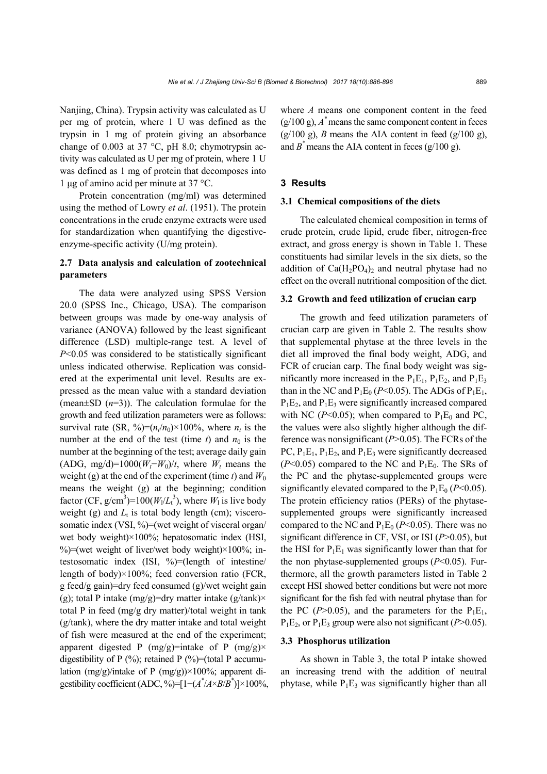Nanjing, China). Trypsin activity was calculated as U per mg of protein, where 1 U was defined as the trypsin in 1 mg of protein giving an absorbance change of 0.003 at 37  $^{\circ}$ C, pH 8.0; chymotrypsin activity was calculated as U per mg of protein, where 1 U was defined as 1 mg of protein that decomposes into 1 μg of amino acid per minute at 37 °C.

Protein concentration (mg/ml) was determined using the method of Lowry *et al*. (1951). The protein concentrations in the crude enzyme extracts were used for standardization when quantifying the digestiveenzyme-specific activity (U/mg protein).

# **2.7 Data analysis and calculation of zootechnical parameters**

The data were analyzed using SPSS Version 20.0 (SPSS Inc., Chicago, USA). The comparison between groups was made by one-way analysis of variance (ANOVA) followed by the least significant difference (LSD) multiple-range test. A level of *P*<0.05 was considered to be statistically significant unless indicated otherwise. Replication was considered at the experimental unit level. Results are expressed as the mean value with a standard deviation (mean±SD (*n*=3)). The calculation formulae for the growth and feed utilization parameters were as follows: survival rate (SR, %)= $(n_t/n_0) \times 100\%$ , where  $n_t$  is the number at the end of the test (time  $t$ ) and  $n_0$  is the number at the beginning of the test; average daily gain (ADG, mg/d)=1000( $W_t$ − $W_0$ )/*t*, where  $W_t$  means the weight (g) at the end of the experiment (time  $t$ ) and  $W_0$ means the weight (g) at the beginning; condition factor (CF,  $g/cm^3$ )=100( $W_1/L_t^3$ ), where  $W_1$  is live body weight (g) and  $L_t$  is total body length (cm); viscerosomatic index (VSI, %)=(wet weight of visceral organ/ wet body weight)×100%; hepatosomatic index (HSI, %)=(wet weight of liver/wet body weight) $\times$ 100%; intestosomatic index (ISI, %)=(length of intestine/ length of body) $\times$ 100%; feed conversion ratio (FCR, g feed/g gain)=dry feed consumed (g)/wet weight gain (g); total P intake (mg/g)=dry matter intake (g/tank) $\times$ total P in feed (mg/g dry matter)/total weight in tank (g/tank), where the dry matter intake and total weight of fish were measured at the end of the experiment; apparent digested P (mg/g)=intake of P (mg/g) $\times$ digestibility of P  $(\%)$ ; retained P  $(\%)$ =(total P accumulation  $(mg/g)/intake$  of P  $(mg/g)) \times 100\%$ ; apparent digestibility coefficient (ADC, %)= $[1-(A^*/A \times B/B^*)] \times 100\%$ , where *A* means one component content in the feed  $(g/100 g)$ ,  $A^*$  means the same component content in feces (g/100 g), *B* means the AIA content in feed (g/100 g), and  $B^*$  means the AIA content in feces ( $g/100 g$ ).

#### **3 Results**

# **3.1 Chemical compositions of the diets**

The calculated chemical composition in terms of crude protein, crude lipid, crude fiber, nitrogen-free extract, and gross energy is shown in Table 1. These constituents had similar levels in the six diets, so the addition of  $Ca(H_2PO_4)_2$  and neutral phytase had no effect on the overall nutritional composition of the diet.

#### **3.2 Growth and feed utilization of crucian carp**

The growth and feed utilization parameters of crucian carp are given in Table 2. The results show that supplemental phytase at the three levels in the diet all improved the final body weight, ADG, and FCR of crucian carp. The final body weight was significantly more increased in the  $P_1E_1$ ,  $P_1E_2$ , and  $P_1E_3$ than in the NC and  $P_1E_0$  ( $P<0.05$ ). The ADGs of  $P_1E_1$ ,  $P_1E_2$ , and  $P_1E_3$  were significantly increased compared with NC ( $P<0.05$ ); when compared to  $P_1E_0$  and PC, the values were also slightly higher although the difference was nonsignificant (*P*>0.05). The FCRs of the PC,  $P_1E_1$ ,  $P_1E_2$ , and  $P_1E_3$  were significantly decreased  $(P<0.05)$  compared to the NC and  $P_1E_0$ . The SRs of the PC and the phytase-supplemented groups were significantly elevated compared to the  $P_1E_0$  ( $P<0.05$ ). The protein efficiency ratios (PERs) of the phytasesupplemented groups were significantly increased compared to the NC and  $P_1E_0$  ( $P<0.05$ ). There was no significant difference in CF, VSI, or ISI (*P*>0.05), but the HSI for  $P_1E_1$  was significantly lower than that for the non phytase-supplemented groups  $(P<0.05)$ . Furthermore, all the growth parameters listed in Table 2 except HSI showed better conditions but were not more significant for the fish fed with neutral phytase than for the PC ( $P > 0.05$ ), and the parameters for the  $P_1E_1$ ,  $P_1E_2$ , or  $P_1E_3$  group were also not significant ( $P > 0.05$ ).

#### **3.3 Phosphorus utilization**

As shown in Table 3, the total P intake showed an increasing trend with the addition of neutral phytase, while  $P_1E_3$  was significantly higher than all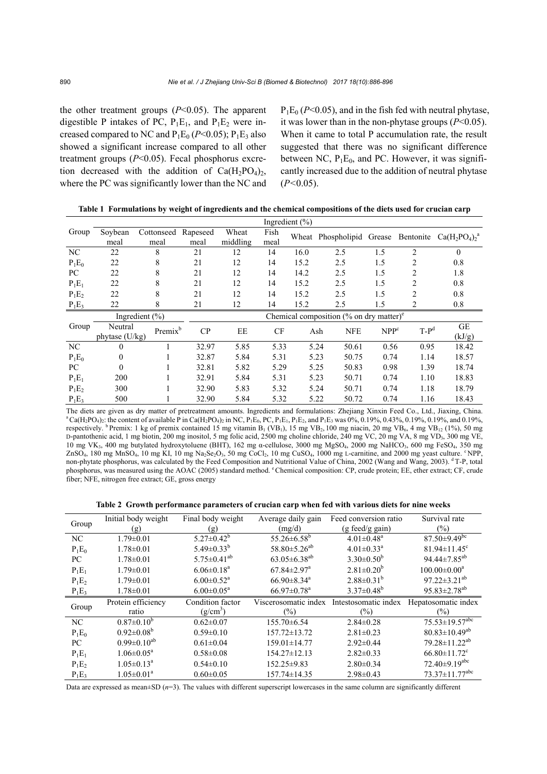the other treatment groups  $(P<0.05)$ . The apparent digestible P intakes of PC,  $P_1E_1$ , and  $P_1E_2$  were increased compared to NC and  $P_1E_0$  ( $P<0.05$ );  $P_1E_3$  also showed a significant increase compared to all other treatment groups (*P*<0.05). Fecal phosphorus excretion decreased with the addition of  $Ca(H_2PO_4)_2$ , where the PC was significantly lower than the NC and  $P_1E_0 (P<0.05)$ , and in the fish fed with neutral phytase, it was lower than in the non-phytase groups (*P*<0.05). When it came to total P accumulation rate, the result suggested that there was no significant difference between NC,  $P_1E_0$ , and PC. However, it was significantly increased due to the addition of neutral phytase (*P<*0.05).

|          |                  |                     |          |          |      | Ingredient $(\% )$ |                                                     |                  |                |                       |
|----------|------------------|---------------------|----------|----------|------|--------------------|-----------------------------------------------------|------------------|----------------|-----------------------|
| Group    | Soybean          | Cottonseed          | Rapeseed | Wheat    | Fish |                    | Wheat Phospholipid Grease                           |                  | Bentonite      | $Ca(H_2PO_4)_{2}^{a}$ |
|          | meal             | meal                | meal     | middling | meal |                    |                                                     |                  |                |                       |
| NC       | 22               | 8                   | 21       | 12       | 14   | 16.0               | 2.5                                                 | 1.5              | $\overline{2}$ | $\theta$              |
| $P_1E_0$ | 22               | 8                   | 21       | 12       | 14   | 15.2               | 2.5                                                 | 1.5              | 2              | 0.8                   |
| PC.      | 22               | 8                   | 21       | 12       | 14   | 14.2               | 2.5                                                 | 1.5              | 2              | 1.8                   |
| $P_1E_1$ | 22               | 8                   | 21       | 12       | 14   | 15.2               | 2.5                                                 | 1.5              | 2              | 0.8                   |
| $P_1E_2$ | 22               | 8                   | 21       | 12       | 14   | 15.2               | 2.5                                                 | 1.5              | $\overline{2}$ | 0.8                   |
| $P_1E_3$ | 22               | 8                   | 21       | 12       | 14   | 15.2               | 2.5                                                 | 1.5              | $\overline{2}$ | 0.8                   |
|          |                  | Ingredient $(\% )$  |          |          |      |                    | Chemical composition (% on dry matter) $e^{\theta}$ |                  |                |                       |
| Group    | Neutral          | Premix <sup>b</sup> | CP       | EE       | CF   |                    | <b>NFE</b><br>Ash                                   | NPP <sup>c</sup> | $T-P^d$        | GE                    |
|          | phytase $(U/kg)$ |                     |          |          |      |                    |                                                     |                  |                | (kJ/g)                |
| NC       | $\Omega$         |                     | 32.97    | 5.85     | 5.33 |                    | 5.24<br>50.61                                       | 0.56             | 0.95           | 18.42                 |
| $P_1E_0$ | $\Omega$         |                     | 32.87    | 5.84     | 5.31 |                    | 5.23<br>50.75                                       | 0.74             | 1.14           | 18.57                 |
| PC       | $\Omega$         |                     | 32.81    | 5.82     | 5.29 |                    | 5.25<br>50.83                                       | 0.98             | 1.39           | 18.74                 |
| $P_1E_1$ | 200              |                     | 32.91    | 5.84     | 5.31 |                    | 50.71<br>5.23                                       | 0.74             | 1.10           | 18.83                 |
| $P_1E_2$ | 300              |                     | 32.90    | 5.83     | 5.32 |                    | 50.71<br>5.24                                       | 0.74             | 1.18           | 18.79                 |
| $P_1E_3$ | 500              |                     | 32.90    | 5.84     | 5.32 |                    | 5.22<br>50.72                                       | 0.74             | 1.16           | 18.43                 |

**Table 1 Formulations by weight of ingredients and the chemical compositions of the diets used for crucian carp** 

The diets are given as dry matter of pretreatment amounts. Ingredients and formulations: Zhejiang Xinxin Feed Co., Ltd., Jiaxing, China.<br><sup>a</sup> Ca(H<sub>2</sub>PO<sub>4</sub>)<sub>2</sub>: the content of available P in Ca(H<sub>2</sub>PO<sub>4</sub>)<sub>2</sub> in NC, P<sub>1</sub>E<sub>0</sub> respectively. <sup>b</sup> Premix: 1 kg of premix contained 15 mg vitamin B<sub>1</sub> (VB<sub>1</sub>), 15 mg VB<sub>2</sub>, 100 mg niacin, 20 mg VB<sub>6</sub>, 4 mg VB<sub>12</sub> (1%), 50 mg D-pantothenic acid, 1 mg biotin, 200 mg inositol, 5 mg folic acid, 2500 mg choline chloride, 240 mg VC, 20 mg VA, 8 mg VD3, 300 mg VE, 10 mg VK<sub>3</sub>, 400 mg butylated hydroxytoluene (BHT), 162 mg α-cellulose, 3000 mg MgSO<sub>4</sub>, 2000 mg NaHCO<sub>3</sub>, 600 mg FeSO<sub>4</sub>, 350 mg ZnSO<sub>4</sub>, 180 mg MnSO<sub>4</sub>, 10 mg KI, 10 mg Na<sub>2</sub>Se<sub>2</sub>O<sub>3</sub>, 50 mg CoCl<sub>2</sub>, 10 mg CuSO<sub>4</sub>, 1000 mg L-carnitine, and 2000 mg yeast culture. <sup>c</sup> NPP, non-phytate phosphorus, was calculated by the Feed Composition and Nutritional Value of China, 2002 (Wang and Wang, 2003). <sup>d</sup> T-P, total phosphorus, was measured using the AOAC (2005) standard method. e Chemical composition: CP, crude protein; EE, ether extract; CF, crude fiber; NFE, nitrogen free extract; GE, gross energy

**Table 2 Growth performance parameters of crucian carp when fed with various diets for nine weeks** 

| Group    | Initial body weight        | Final body weight            | Average daily gain             | Feed conversion ratio        | Survival rate                    |
|----------|----------------------------|------------------------------|--------------------------------|------------------------------|----------------------------------|
|          | (g)                        | (g)                          | (mg/d)                         | $(g$ feed/g gain)            | $(\%)$                           |
| NC       | $1.79 \pm 0.01$            | $5.27 \pm 0.42^b$            | $55.26 \pm 6.58^b$             | $4.01 \pm 0.48$ <sup>a</sup> | $87.50 \pm 9.49$ <sup>bc</sup>   |
| $P_1E_0$ | $1.78 \pm 0.01$            | 5.49 $\pm$ 0.33 <sup>b</sup> | 58.80 $\pm$ 5.26 <sup>ab</sup> | $4.01 \pm 0.33$ <sup>a</sup> | $81.94 \pm 11.45$ <sup>c</sup>   |
| PC.      | $1.78 \pm 0.01$            | $5.75 \pm 0.41^{ab}$         | $63.05 \pm 6.38^{ab}$          | $3.30\pm0.50^b$              | $94.44 \pm 7.85^{ab}$            |
| $P_1E_1$ | $1.79 \pm 0.01$            | $6.06 \pm 0.18$ <sup>a</sup> | $67.84 \pm 2.97$ <sup>a</sup>  | $2.81 \pm 0.20^b$            | $100.00 \pm 0.00^a$              |
| $P_1E_2$ | $1.79 \pm 0.01$            | $6.00 \pm 0.52$ <sup>a</sup> | $66.90 \pm 8.34$ <sup>a</sup>  | $2.88 \pm 0.31^b$            | $97.22 \pm 3.21^{ab}$            |
| $P_1E_3$ | $1.78 \pm 0.01$            | $6.00 \pm 0.05^{\text{a}}$   | $66.97 \pm 0.78$ <sup>a</sup>  | $3.37 \pm 0.48^b$            | $95.83 \pm 2.78$ <sup>ab</sup>   |
|          |                            |                              |                                |                              |                                  |
|          | Protein efficiency         | Condition factor             | Viscerosomatic index           | Intestosomatic index         | Hepatosomatic index              |
| Group    | ratio                      | (g/cm <sup>3</sup> )         | (%)                            | $(\%)$                       | $\frac{6}{2}$                    |
| NC       | $0.87 \pm 0.10^b$          | $0.62 \pm 0.07$              | $155.70 \pm 6.54$              | $2.84 \pm 0.28$              | $75.53 \pm 19.57$ <sup>abc</sup> |
| $P_1E_0$ | $0.92 \pm 0.08^b$          | $0.59 \pm 0.10$              | $157.72 \pm 13.72$             | $2.81 \pm 0.23$              | $80.83 \pm 10.49^{ab}$           |
| PC.      | $0.99 \pm 0.10^{ab}$       | $0.61 \pm 0.04$              | 159.01±14.77                   | $2.92 \pm 0.44$              | $79.28 \pm 11.22^{ab}$           |
| $P_1E_1$ | $1.06 \pm 0.05^{\text{a}}$ | $0.58 \pm 0.08$              | 154.27±12.13                   | $2.82 \pm 0.33$              | $66.80 \pm 11.72$ <sup>c</sup>   |
| $P_1E_2$ | $1.05 \pm 0.13^{\text{a}}$ | $0.54 \pm 0.10$              | $152.25 \pm 9.83$              | $2.80\pm0.34$                | $72.40\pm9.19$ <sup>abc</sup>    |

Data are expressed as mean±SD ( $n=3$ ). The values with different superscript lowercases in the same column are significantly different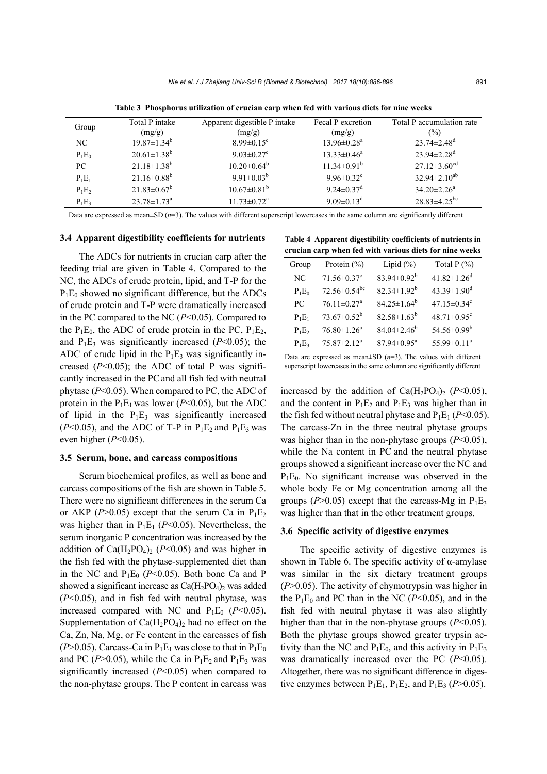| Group    | Total P intake<br>(mg/g)      | Apparent digestible P intake<br>(mg/g) | Fecal P excretion<br>(mg/g)  | Total P accumulation rate<br>$\frac{9}{0}$ |
|----------|-------------------------------|----------------------------------------|------------------------------|--------------------------------------------|
| NC       | $19.87 \pm 1.34^b$            | $8.99 \pm 0.15$ <sup>c</sup>           | $13.96 \pm 0.28^a$           | $23.74 \pm 2.48$ <sup>d</sup>              |
| $P_1E_0$ | $20.61 \pm 1.38$ <sup>b</sup> | 9.03 $\pm$ 0.27 $\rm{c}$               | $13.33 \pm 0.46^a$           | $23.94 \pm 2.28$ <sup>d</sup>              |
| PC       | $21.18 \pm 1.38$ <sup>b</sup> | $10.20 \pm 0.64^b$                     | $11.34\pm0.91^{b}$           | $27.12 \pm 3.60^{\text{cd}}$               |
| $P_1E_1$ | $21.16 \pm 0.88$ <sup>b</sup> | $9.91 \pm 0.03^b$                      | $9.96 \pm 0.32$ <sup>c</sup> | $32.94 \pm 2.10^{ab}$                      |
| $P_1E_2$ | $21.83 \pm 0.67^b$            | $10.67 \pm 0.81^b$                     | $9.24 \pm 0.37$ <sup>d</sup> | $34.20 \pm 2.26^a$                         |
| $P_1E_3$ | $23.78 \pm 1.73^{\text{a}}$   | $11.73 \pm 0.72$ <sup>a</sup>          | 9.09 $\pm$ 0.13 <sup>d</sup> | $28.83\pm4.25^{bc}$                        |

**Table 3 Phosphorus utilization of crucian carp when fed with various diets for nine weeks** 

Data are expressed as mean±SD (*n*=3). The values with different superscript lowercases in the same column are significantly different

# **3.4 Apparent digestibility coefficients for nutrients**

The ADCs for nutrients in crucian carp after the feeding trial are given in Table 4. Compared to the NC, the ADCs of crude protein, lipid, and T-P for the  $P_1E_0$  showed no significant difference, but the ADCs of crude protein and T-P were dramatically increased in the PC compared to the NC (*P*<0.05). Compared to the  $P_1E_0$ , the ADC of crude protein in the PC,  $P_1E_2$ , and  $P_1E_3$  was significantly increased ( $P<0.05$ ); the ADC of crude lipid in the  $P_1E_3$  was significantly increased  $(P<0.05)$ ; the ADC of total P was significantly increased in the PCand all fish fed with neutral phytase (*P*<0.05). When compared to PC, the ADC of protein in the  $P_1E_1$  was lower ( $P \le 0.05$ ), but the ADC of lipid in the  $P_1E_3$  was significantly increased ( $P<0.05$ ), and the ADC of T-P in  $P_1E_2$  and  $P_1E_3$  was even higher (*P*<0.05).

#### **3.5 Serum, bone, and carcass compositions**

Serum biochemical profiles, as well as bone and carcass compositions of the fish are shown in Table 5. There were no significant differences in the serum Ca or AKP ( $P > 0.05$ ) except that the serum Ca in  $P_1E_2$ was higher than in  $P_1E_1$  ( $P<0.05$ ). Nevertheless, the serum inorganic P concentration was increased by the addition of  $Ca(H_2PO_4)$ <sub>2</sub> ( $P<0.05$ ) and was higher in the fish fed with the phytase-supplemented diet than in the NC and  $P_1E_0$  ( $P<0.05$ ). Both bone Ca and P showed a significant increase as  $Ca(H_2PO_4)_2$  was added (*P*<0.05), and in fish fed with neutral phytase, was increased compared with NC and  $P_1E_0$  ( $P<0.05$ ). Supplementation of  $Ca(H_2PO_4)_2$  had no effect on the Ca, Zn, Na, Mg, or Fe content in the carcasses of fish ( $P > 0.05$ ). Carcass-Ca in  $P_1E_1$  was close to that in  $P_1E_0$ and PC ( $P > 0.05$ ), while the Ca in  $P_1E_2$  and  $P_1E_3$  was significantly increased (*P*<0.05) when compared to the non-phytase groups. The P content in carcass was

**Table 4 Apparent digestibility coefficients of nutrients in crucian carp when fed with various diets for nine weeks** 

| Group    | Protein $(\% )$                | Lipid $(\%)$                | Total $P(\% )$                |
|----------|--------------------------------|-----------------------------|-------------------------------|
| NC.      | $71.56 \pm 0.37$ <sup>c</sup>  | $83.94 \pm 0.92^b$          | $41.82 \pm 1.26$ <sup>d</sup> |
| $P_1E_0$ | $72.56 \pm 0.54$ <sup>bc</sup> | $82.34 \pm 1.92^b$          | 43.39 $\pm$ 1.90 <sup>d</sup> |
| PС       | $76.11 \pm 0.27$ <sup>a</sup>  | $84.25 \pm 1.64^b$          | $47.15 \pm 0.34$ <sup>c</sup> |
| $P_1E_1$ | $73.67 \pm 0.52^b$             | $82.58 \pm 1.63^b$          | $48.71 \pm 0.95$ <sup>c</sup> |
| $P_1E_2$ | $76.80 \pm 1.26^a$             | $84.04 \pm 2.46^b$          | $54.56 \pm 0.99^b$            |
| $P_1E_3$ | $75.87 \pm 2.12^a$             | $87.94 \pm 0.95^{\text{a}}$ | 55.99 $\pm$ 0.11 <sup>a</sup> |

Data are expressed as mean $\pm$ SD ( $n=3$ ). The values with different superscript lowercases in the same column are significantly different

increased by the addition of  $Ca(H_2PO_4)_2$  ( $P<0.05$ ), and the content in  $P_1E_2$  and  $P_1E_3$  was higher than in the fish fed without neutral phytase and  $P_1E_1 (P<0.05)$ . The carcass-Zn in the three neutral phytase groups was higher than in the non-phytase groups (*P*<0.05), while the Na content in PC and the neutral phytase groups showed a significant increase over the NC and  $P_1E_0$ . No significant increase was observed in the whole body Fe or Mg concentration among all the groups ( $P > 0.05$ ) except that the carcass-Mg in  $P_1E_3$ was higher than that in the other treatment groups.

#### **3.6 Specific activity of digestive enzymes**

The specific activity of digestive enzymes is shown in Table 6. The specific activity of  $\alpha$ -amylase was similar in the six dietary treatment groups (*P*>0.05). The activity of chymotrypsin was higher in the  $P_1E_0$  and PC than in the NC ( $P<0.05$ ), and in the fish fed with neutral phytase it was also slightly higher than that in the non-phytase groups ( $P<0.05$ ). Both the phytase groups showed greater trypsin activity than the NC and  $P_1E_0$ , and this activity in  $P_1E_3$ was dramatically increased over the PC (*P*<0.05). Altogether, there was no significant difference in digestive enzymes between  $P_1E_1$ ,  $P_1E_2$ , and  $P_1E_3$  ( $P > 0.05$ ).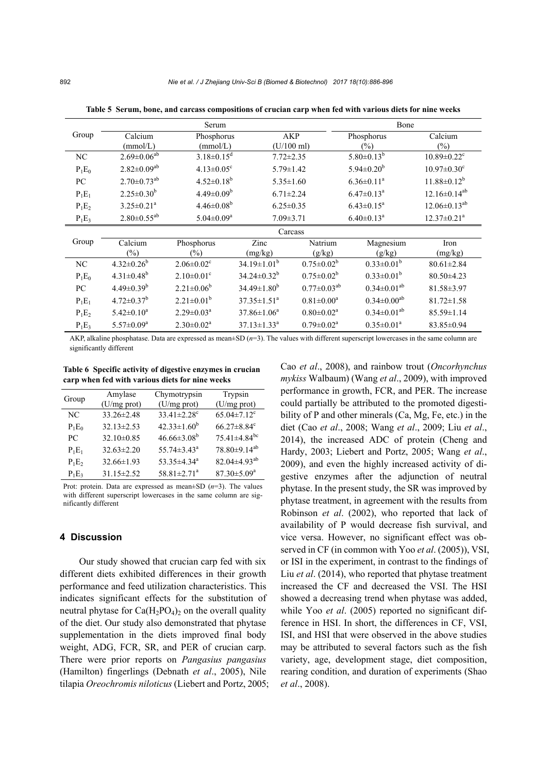|          |                               | Serum                        |                               |                      | Bone                          |                               |
|----------|-------------------------------|------------------------------|-------------------------------|----------------------|-------------------------------|-------------------------------|
| Group    | Calcium                       | Phosphorus                   |                               | <b>AKP</b>           | Phosphorus                    | Calcium                       |
|          | (mmol/L)                      | (mmol/L)                     |                               | $(U/100 \text{ ml})$ | $(\%)$                        | $(\%)$                        |
| NC       | $2.69 \pm 0.06^{ab}$          | $3.18 \pm 0.15$ <sup>d</sup> | $7.72 \pm 2.35$               |                      | $5.80 \pm 0.13^{b}$           | $10.89 \pm 0.22$ <sup>c</sup> |
| $P_1E_0$ | $2.82 \pm 0.09^{ab}$          | $4.13 \pm 0.05$ <sup>c</sup> | $5.79 \pm 1.42$               |                      | $5.94 \pm 0.20^b$             | $10.97 \pm 0.30$ <sup>c</sup> |
| PC       | $2.70 \pm 0.73$ <sup>ab</sup> | $4.52 \pm 0.18^b$            |                               | $5.35 \pm 1.60$      | $6.36 \pm 0.11^a$             | $11.88 \pm 0.12^b$            |
| $P_1E_1$ | $2.25 \pm 0.30^b$             | $4.49 \pm 0.09^b$            | $6.71 \pm 2.24$               |                      | $6.47 \pm 0.13$ <sup>a</sup>  | $12.16 \pm 0.14^{ab}$         |
| $P_1E_2$ | $3.25 \pm 0.21^a$             | $4.46 \pm 0.08^b$            | $6.25 \pm 0.35$               |                      | $6.43 \pm 0.15^a$             | $12.06 \pm 0.13^{ab}$         |
| $P_1E_3$ | $2.80 \pm 0.55^{ab}$          | $5.04 \pm 0.09^a$            | $7.09 \pm 3.71$               |                      | $6.40 \pm 0.13$ <sup>a</sup>  | $12.37 \pm 0.21$ <sup>a</sup> |
|          |                               |                              |                               | Carcass              |                               |                               |
| Group    | Calcium                       | Phosphorus                   | Zinc                          | Natrium              | Magnesium                     | Iron                          |
|          | $\frac{0}{0}$                 | $\frac{1}{2}$                | (mg/kg)                       | (g/kg)               | (g/kg)                        | (mg/kg)                       |
| NC       | $4.32 \pm 0.26^b$             | $2.06 \pm 0.02$ <sup>c</sup> | $34.19 \pm 1.01^b$            | $0.75 \pm 0.02^b$    | $0.33 \pm 0.01^b$             | $80.61 \pm 2.84$              |
| $P_1E_0$ | $4.31 \pm 0.48$ <sup>b</sup>  | $2.10\pm0.01^c$              | $34.24 \pm 0.32^b$            | $0.75 \pm 0.02^b$    | $0.33 \pm 0.01^b$             | $80.50 \pm 4.23$              |
| PC       | $4.49 \pm 0.39^b$             | $2.21 \pm 0.06^b$            | $34.49 \pm 1.80^b$            | $0.77 \pm 0.03^{ab}$ | $0.34 \pm 0.01^{ab}$          | 81.58±3.97                    |
| $P_1E_1$ | $4.72 \pm 0.37^b$             | $2.21 \pm 0.01^b$            | $37.35 \pm 1.51^a$            | $0.81 \pm 0.00^a$    | $0.34 \pm 0.00$ <sup>ab</sup> | $81.72 \pm 1.58$              |
| $P_1E_2$ | $5.42 \pm 0.10^a$             | $2.29 \pm 0.03^a$            | $37.86 \pm 1.06^a$            | $0.80 \pm 0.02^a$    | $0.34 \pm 0.01^{ab}$          | 85.59±1.14                    |
| $P_1E_3$ | $5.57 \pm 0.09^a$             | $2.30 \pm 0.02^a$            | $37.13 \pm 1.33$ <sup>a</sup> | $0.79 \pm 0.02^a$    | $0.35 \pm 0.01^a$             | 83.85±0.94                    |

**Table 5 Serum, bone, and carcass compositions of crucian carp when fed with various diets for nine weeks** 

AKP, alkaline phosphatase. Data are expressed as mean±SD (*n*=3). The values with different superscript lowercases in the same column are significantly different

**Table 6 Specific activity of digestive enzymes in crucian carp when fed with various diets for nine weeks** 

|          | Amylase          | Chymotrypsin                  | Trypsin                        |  |
|----------|------------------|-------------------------------|--------------------------------|--|
| Group    | $(U/mg$ prot)    | $(U/mg$ prot)                 | $(U/mg$ prot)                  |  |
| NC       | $33.26 \pm 2.48$ | $33.41 \pm 2.28$ <sup>c</sup> | $65.04 \pm 7.12$ <sup>c</sup>  |  |
| $P_1E_0$ | $32.13 \pm 2.53$ | $42.33 \pm 1.60^b$            | $66.27 \pm 8.84$ <sup>c</sup>  |  |
| PС       | $32.10\pm0.85$   | $46.66\pm3.08^b$              | $75.41 \pm 4.84$ <sup>bc</sup> |  |
| $P_1E_1$ | $32.63 \pm 2.20$ | 55.74 $\pm$ 3.43 <sup>a</sup> | 78.80±9.14 <sup>ab</sup>       |  |
| $P_1E_2$ | $32.66 \pm 1.93$ | $53.35 \pm 4.34$ <sup>a</sup> | $82.04 \pm 4.93$ <sup>ab</sup> |  |
| $P_1E_3$ | $31.15 \pm 2.52$ | $58.81 \pm 2.71$ <sup>a</sup> | $87.30 \pm 5.09^a$             |  |

Prot: protein. Data are expressed as mean±SD (*n*=3). The values with different superscript lowercases in the same column are significantly different

## **4 Discussion**

Our study showed that crucian carp fed with six different diets exhibited differences in their growth performance and feed utilization characteristics. This indicates significant effects for the substitution of neutral phytase for  $Ca(H_2PO_4)$  on the overall quality of the diet. Our study also demonstrated that phytase supplementation in the diets improved final body weight, ADG, FCR, SR, and PER of crucian carp. There were prior reports on *Pangasius pangasius*  (Hamilton) fingerlings (Debnath *et al*., 2005), Nile tilapia *Oreochromis niloticus* (Liebert and Portz, 2005; Cao *et al*., 2008), and rainbow trout (*Oncorhynchus mykiss* Walbaum) (Wang *et al*., 2009), with improved performance in growth, FCR, and PER. The increase could partially be attributed to the promoted digestibility of P and other minerals (Ca, Mg, Fe, etc.) in the diet (Cao *et al*., 2008; Wang *et al*., 2009; Liu *et al*., 2014), the increased ADC of protein (Cheng and Hardy, 2003; Liebert and Portz, 2005; Wang *et al*., 2009), and even the highly increased activity of digestive enzymes after the adjunction of neutral phytase. In the present study, the SR was improved by phytase treatment, in agreement with the results from Robinson *et al*. (2002), who reported that lack of availability of P would decrease fish survival, and vice versa. However, no significant effect was observed in CF (in common with Yoo *et al*. (2005)), VSI, or ISI in the experiment, in contrast to the findings of Liu *et al*. (2014), who reported that phytase treatment increased the CF and decreased the VSI. The HSI showed a decreasing trend when phytase was added, while Yoo *et al.* (2005) reported no significant difference in HSI. In short, the differences in CF, VSI, ISI, and HSI that were observed in the above studies may be attributed to several factors such as the fish variety, age, development stage, diet composition, rearing condition, and duration of experiments (Shao *et al*., 2008).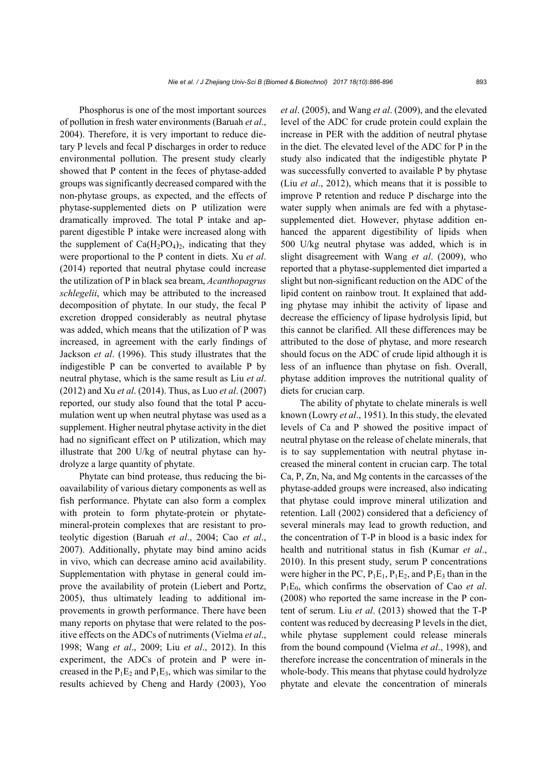Phosphorus is one of the most important sources of pollution in fresh water environments (Baruah *et al*., 2004). Therefore, it is very important to reduce dietary P levels and fecal P discharges in order to reduce environmental pollution. The present study clearly showed that P content in the feces of phytase-added groups was significantly decreased compared with the non-phytase groups, as expected, and the effects of phytase-supplemented diets on P utilization were dramatically improved. The total P intake and apparent digestible P intake were increased along with the supplement of  $Ca(H_2PO_4)_2$ , indicating that they were proportional to the P content in diets. Xu *et al*. (2014) reported that neutral phytase could increase the utilization of P in black sea bream, *Acanthopagrus schlegelii*, which may be attributed to the increased decomposition of phytate. In our study, the fecal P excretion dropped considerably as neutral phytase was added, which means that the utilization of P was increased, in agreement with the early findings of Jackson *et al*. (1996). This study illustrates that the indigestible P can be converted to available P by neutral phytase, which is the same result as Liu *et al*. (2012) and Xu *et al*. (2014). Thus, as Luo *et al*. (2007) reported, our study also found that the total P accumulation went up when neutral phytase was used as a supplement. Higher neutral phytase activity in the diet had no significant effect on P utilization, which may illustrate that 200 U/kg of neutral phytase can hydrolyze a large quantity of phytate.

Phytate can bind protease, thus reducing the bioavailability of various dietary components as well as fish performance. Phytate can also form a complex with protein to form phytate-protein or phytatemineral-protein complexes that are resistant to proteolytic digestion (Baruah *et al*., 2004; Cao *et al*., 2007). Additionally, phytate may bind amino acids in vivo, which can decrease amino acid availability. Supplementation with phytase in general could improve the availability of protein (Liebert and Portz, 2005), thus ultimately leading to additional improvements in growth performance. There have been many reports on phytase that were related to the positive effects on the ADCs of nutriments (Vielma *et al*., 1998; Wang *et al*., 2009; Liu *et al*., 2012). In this experiment, the ADCs of protein and P were increased in the  $P_1E_2$  and  $P_1E_3$ , which was similar to the results achieved by Cheng and Hardy (2003), Yoo

*et al*. (2005), and Wang *et al*. (2009), and the elevated level of the ADC for crude protein could explain the increase in PER with the addition of neutral phytase in the diet. The elevated level of the ADC for P in the study also indicated that the indigestible phytate P was successfully converted to available P by phytase (Liu *et al*., 2012), which means that it is possible to improve P retention and reduce P discharge into the water supply when animals are fed with a phytasesupplemented diet. However, phytase addition enhanced the apparent digestibility of lipids when 500 U/kg neutral phytase was added, which is in slight disagreement with Wang *et al*. (2009), who reported that a phytase-supplemented diet imparted a slight but non-significant reduction on the ADC of the lipid content on rainbow trout. It explained that adding phytase may inhibit the activity of lipase and decrease the efficiency of lipase hydrolysis lipid, but this cannot be clarified. All these differences may be attributed to the dose of phytase, and more research should focus on the ADC of crude lipid although it is less of an influence than phytase on fish. Overall, phytase addition improves the nutritional quality of diets for crucian carp.

The ability of phytate to chelate minerals is well known (Lowry *et al*., 1951). In this study, the elevated levels of Ca and P showed the positive impact of neutral phytase on the release of chelate minerals, that is to say supplementation with neutral phytase increased the mineral content in crucian carp. The total Ca, P, Zn, Na, and Mg contents in the carcasses of the phytase-added groups were increased, also indicating that phytase could improve mineral utilization and retention. Lall (2002) considered that a deficiency of several minerals may lead to growth reduction, and the concentration of T-P in blood is a basic index for health and nutritional status in fish (Kumar *et al*., 2010). In this present study, serum P concentrations were higher in the PC,  $P_1E_1$ ,  $P_1E_2$ , and  $P_1E_3$  than in the P1E0, which confirms the observation of Cao *et al*. (2008) who reported the same increase in the P content of serum. Liu *et al*. (2013) showed that the T-P content was reduced by decreasing P levels in the diet, while phytase supplement could release minerals from the bound compound (Vielma *et al*., 1998), and therefore increase the concentration of minerals in the whole-body. This means that phytase could hydrolyze phytate and elevate the concentration of minerals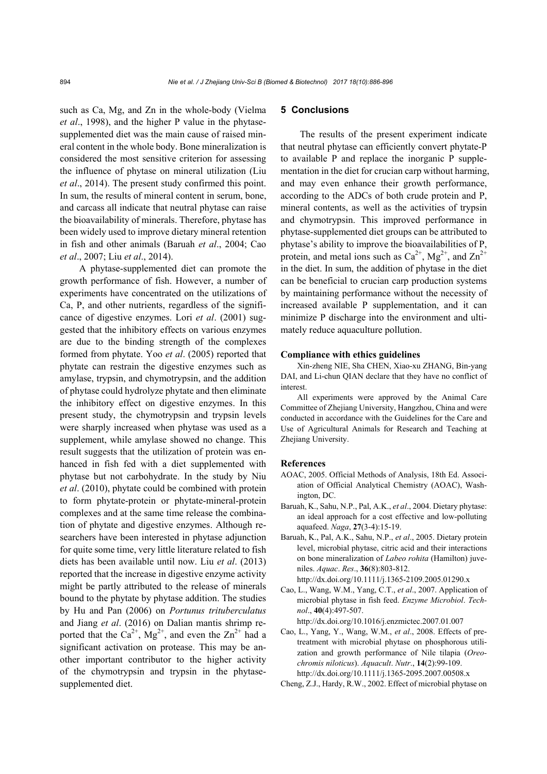such as Ca, Mg, and Zn in the whole-body (Vielma *et al*., 1998), and the higher P value in the phytasesupplemented diet was the main cause of raised mineral content in the whole body. Bone mineralization is considered the most sensitive criterion for assessing the influence of phytase on mineral utilization (Liu *et al*., 2014). The present study confirmed this point. In sum, the results of mineral content in serum, bone, and carcass all indicate that neutral phytase can raise the bioavailability of minerals. Therefore, phytase has been widely used to improve dietary mineral retention in fish and other animals (Baruah *et al*., 2004; Cao *et al*., 2007; Liu *et al*., 2014).

A phytase-supplemented diet can promote the growth performance of fish. However, a number of experiments have concentrated on the utilizations of Ca, P, and other nutrients, regardless of the significance of digestive enzymes. Lori *et al*. (2001) suggested that the inhibitory effects on various enzymes are due to the binding strength of the complexes formed from phytate. Yoo *et al*. (2005) reported that phytate can restrain the digestive enzymes such as amylase, trypsin, and chymotrypsin, and the addition of phytase could hydrolyze phytate and then eliminate the inhibitory effect on digestive enzymes. In this present study, the chymotrypsin and trypsin levels were sharply increased when phytase was used as a supplement, while amylase showed no change. This result suggests that the utilization of protein was enhanced in fish fed with a diet supplemented with phytase but not carbohydrate. In the study by Niu *et al*. (2010), phytate could be combined with protein to form phytate-protein or phytate-mineral-protein complexes and at the same time release the combination of phytate and digestive enzymes. Although researchers have been interested in phytase adjunction for quite some time, very little literature related to fish diets has been available until now. Liu *et al*. (2013) reported that the increase in digestive enzyme activity might be partly attributed to the release of minerals bound to the phytate by phytase addition. The studies by Hu and Pan (2006) on *Portunus trituberculatus* and Jiang *et al*. (2016) on Dalian mantis shrimp reported that the  $Ca^{2+}$ ,  $Mg^{2+}$ , and even the  $Zn^{2+}$  had a significant activation on protease. This may be another important contributor to the higher activity of the chymotrypsin and trypsin in the phytasesupplemented diet.

#### **5 Conclusions**

The results of the present experiment indicate that neutral phytase can efficiently convert phytate-P to available P and replace the inorganic P supplementation in the diet for crucian carp without harming, and may even enhance their growth performance, according to the ADCs of both crude protein and P, mineral contents, as well as the activities of trypsin and chymotrypsin. This improved performance in phytase-supplemented diet groups can be attributed to phytase's ability to improve the bioavailabilities of P, protein, and metal ions such as  $Ca^{2+}$ ,  $Mg^{2+}$ , and  $Zn^{2+}$ in the diet. In sum, the addition of phytase in the diet can be beneficial to crucian carp production systems by maintaining performance without the necessity of increased available P supplementation, and it can minimize P discharge into the environment and ultimately reduce aquaculture pollution.

#### **Compliance with ethics guidelines**

Xin-zheng NIE, Sha CHEN, Xiao-xu ZHANG, Bin-yang DAI, and Li-chun QIAN declare that they have no conflict of interest.

All experiments were approved by the Animal Care Committee of Zhejiang University, Hangzhou, China and were conducted in accordance with the Guidelines for the Care and Use of Agricultural Animals for Research and Teaching at Zhejiang University.

#### **References**

- AOAC, 2005. Official Methods of Analysis, 18th Ed. Association of Official Analytical Chemistry (AOAC), Washington, DC.
- Baruah, K., Sahu, N.P., Pal, A.K., *et al*., 2004. Dietary phytase: an ideal approach for a cost effective and low-polluting aquafeed. *Naga*, **27**(3-4):15-19.
- Baruah, K., Pal, A.K., Sahu, N.P., *et al*., 2005. Dietary protein level, microbial phytase, citric acid and their interactions on bone mineralization of *Labeo rohita* (Hamilton) juveniles. *Aquac*. *Res*., **36**(8):803-812. http://dx.doi.org/10.1111/j.1365-2109.2005.01290.x
- Cao, L., Wang, W.M., Yang, C.T., *et al*., 2007. Application of microbial phytase in fish feed. *Enzyme Microbiol*. *Technol*., **40**(4):497-507.

http://dx.doi.org/10.1016/j.enzmictec.2007.01.007

- Cao, L., Yang, Y., Wang, W.M., *et al*., 2008. Effects of pretreatment with microbial phytase on phosphorous utilization and growth performance of Nile tilapia (*Oreochromis niloticus*). *Aquacult*. *Nutr*., **14**(2):99-109. http://dx.doi.org/10.1111/j.1365-2095.2007.00508.x
- Cheng, Z.J., Hardy, R.W., 2002. Effect of microbial phytase on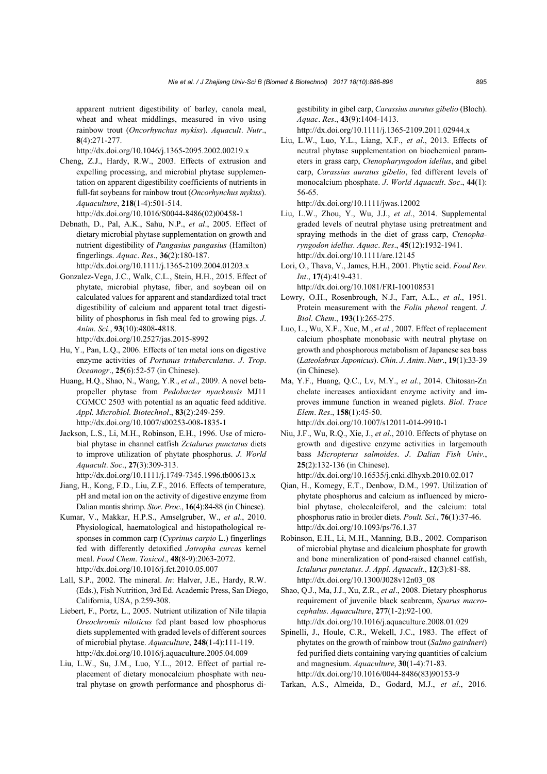apparent nutrient digestibility of barley, canola meal, wheat and wheat middlings, measured in vivo using rainbow trout (*Oncorhynchus mykiss*). *Aquacult*. *Nutr*., **8**(4):271-277.

http://dx.doi.org/10.1046/j.1365-2095.2002.00219.x

- Cheng, Z.J., Hardy, R.W., 2003. Effects of extrusion and expelling processing, and microbial phytase supplementation on apparent digestibility coefficients of nutrients in full-fat soybeans for rainbow trout (*Oncorhynchus mykiss*). *Aquaculture*, **218**(1-4):501-514. http://dx.doi.org/10.1016/S0044-8486(02)00458-1
- Debnath, D., Pal, A.K., Sahu, N.P., *et al*., 2005. Effect of dietary microbial phytase supplementation on growth and nutrient digestibility of *Pangasius pangasius* (Hamilton) fingerlings. *Aquac*. *Res*., **36**(2):180-187.

http://dx.doi.org/10.1111/j.1365-2109.2004.01203.x

- Gonzalez-Vega, J.C., Walk, C.L., Stein, H.H., 2015. Effect of phytate, microbial phytase, fiber, and soybean oil on calculated values for apparent and standardized total tract digestibility of calcium and apparent total tract digestibility of phosphorus in fish meal fed to growing pigs. *J*. *Anim*. *Sci*., **93**(10):4808-4818. http://dx.doi.org/10.2527/jas.2015-8992
- Hu, Y., Pan, L.Q., 2006. Effects of ten metal ions on digestive enzyme activities of *Portunus trituberculatus*. *J*. *Trop*. *Oceanogr*., **25**(6):52-57 (in Chinese).
- Huang, H.Q., Shao, N., Wang, Y.R., *et al*., 2009. A novel betapropeller phytase from *Pedobacter nyackensis* MJ11 CGMCC 2503 with potential as an aquatic feed additive. *Appl. Microbiol. Biotechnol*., **83**(2):249-259. http://dx.doi.org/10.1007/s00253-008-1835-1
- Jackson, L.S., Li, M.H., Robinson, E.H., 1996. Use of microbial phytase in channel catfish *Zctalurus punctatus* diets to improve utilization of phytate phosphorus. *J*. *World Aquacult*. *Soc*., **27**(3):309-313. http://dx.doi.org/10.1111/j.1749-7345.1996.tb00613.x
- Jiang, H., Kong, F.D., Liu, Z.F., 2016. Effects of temperature, pH and metal ion on the activity of digestive enzyme from Dalian mantis shrimp. *Stor*. *Proc*., **16**(4):84-88 (in Chinese).
- Kumar, V., Makkar, H.P.S., Amselgruber, W., *et al*., 2010. Physiological, haematological and histopathological responses in common carp (*Cyprinus carpio* L.) fingerlings fed with differently detoxified *Jatropha curcas* kernel meal. *Food Chem*. *Toxicol*., **48**(8-9):2063-2072. http://dx.doi.org/10.1016/j.fct.2010.05.007
- Lall, S.P., 2002. The mineral. *In*: Halver, J.E., Hardy, R.W. (Eds.), Fish Nutrition, 3rd Ed. Academic Press, San Diego, California, USA, p.259-308.
- Liebert, F., Portz, L., 2005. Nutrient utilization of Nile tilapia *Oreochromis niloticus* fed plant based low phosphorus diets supplemented with graded levels of different sources of microbial phytase. *Aquaculture*, **248**(1-4):111-119. http://dx.doi.org/10.1016/j.aquaculture.2005.04.009
- Liu, L.W., Su, J.M., Luo, Y.L., 2012. Effect of partial replacement of dietary monocalcium phosphate with neutral phytase on growth performance and phosphorus di-

gestibility in gibel carp, *Carassius auratus gibelio* (Bloch). *Aquac*. *Res*., **43**(9):1404-1413.

http://dx.doi.org/10.1111/j.1365-2109.2011.02944.x

Liu, L.W., Luo, Y.L., Liang, X.F., *et al*., 2013. Effects of neutral phytase supplementation on biochemical parameters in grass carp, *Ctenopharyngodon idellus*, and gibel carp, *Carassius auratus gibelio*, fed different levels of monocalcium phosphate. *J*. *World Aquacult*. *Soc*., **44**(1): 56-65.

http://dx.doi.org/10.1111/jwas.12002

- Liu, L.W., Zhou, Y., Wu, J.J., *et al*., 2014. Supplemental graded levels of neutral phytase using pretreatment and spraying methods in the diet of grass carp, *Ctenopharyngodon idellus*. *Aquac*. *Res*., **45**(12):1932-1941. http://dx.doi.org/10.1111/are.12145
- Lori, O., Thava, V., James, H.H., 2001. Phytic acid. *Food Rev*. *Int*., **17**(4):419-431. http://dx.doi.org/10.1081/FRI-100108531
- Lowry, O.H., Rosenbrough, N.J., Farr, A.L., *et al*., 1951. Protein measurement with the *Folin phenol* reagent. *J*. *Biol*. *Chem*., **193**(1):265-275.
- Luo, L., Wu, X.F., Xue, M., *et al*., 2007. Effect of replacement calcium phosphate monobasic with neutral phytase on growth and phosphorous metabolism of Japanese sea bass (*Lateolabrax Japonicus*). *Chin*. *J*. *Anim*. *Nutr*., **19**(1):33-39 (in Chinese).
- Ma, Y.F., Huang, Q.C., Lv, M.Y., *et al*., 2014. Chitosan-Zn chelate increases antioxidant enzyme activity and improves immune function in weaned piglets. *Biol*. *Trace Elem*. *Res*., **158**(1):45-50. http://dx.doi.org/10.1007/s12011-014-9910-1
- Niu, J.F., Wu, R.Q., Xie, J., *et al*., 2010. Effects of phytase on growth and digestive enzyme activities in largemouth bass *Micropterus salmoides*. *J*. *Dalian Fish Univ*., **25**(2):132-136 (in Chinese).

http://dx.doi.org/10.16535/j.cnki.dlhyxb.2010.02.017

- Qian, H., Komegy, E.T., Denbow, D.M., 1997. Utilization of phytate phosphorus and calcium as influenced by microbial phytase, cholecalciferol, and the calcium: total phosphorus ratio in broiler diets. *Poult. Sci*., **76**(1):37-46. http://dx.doi.org/10.1093/ps/76.1.37
- Robinson, E.H., Li, M.H., Manning, B.B., 2002. Comparison of microbial phytase and dicalcium phosphate for growth and bone mineralization of pond-raised channel catfish, *Ictalurus punctatus*. *J*. *Appl*. *Aquacult*., **12**(3):81-88. http://dx.doi.org/10.1300/J028v12n03\_08
- Shao, Q.J., Ma, J.J., Xu, Z.R., *et al*., 2008. Dietary phosphorus requirement of juvenile black seabream, *Sparus macrocephalus*. *Aquaculture*, **277**(1-2):92-100. http://dx.doi.org/10.1016/j.aquaculture.2008.01.029
- Spinelli, J., Houle, C.R., Wekell, J.C., 1983. The effect of phytates on the growth of rainbow trout (*Salmo gairdneri*) fed purified diets containing varying quantities of calcium and magnesium. *Aquaculture*, **30**(1-4):71-83. http://dx.doi.org/10.1016/0044-8486(83)90153-9
- Tarkan, A.S., Almeida, D., Godard, M.J., *et al*., 2016.